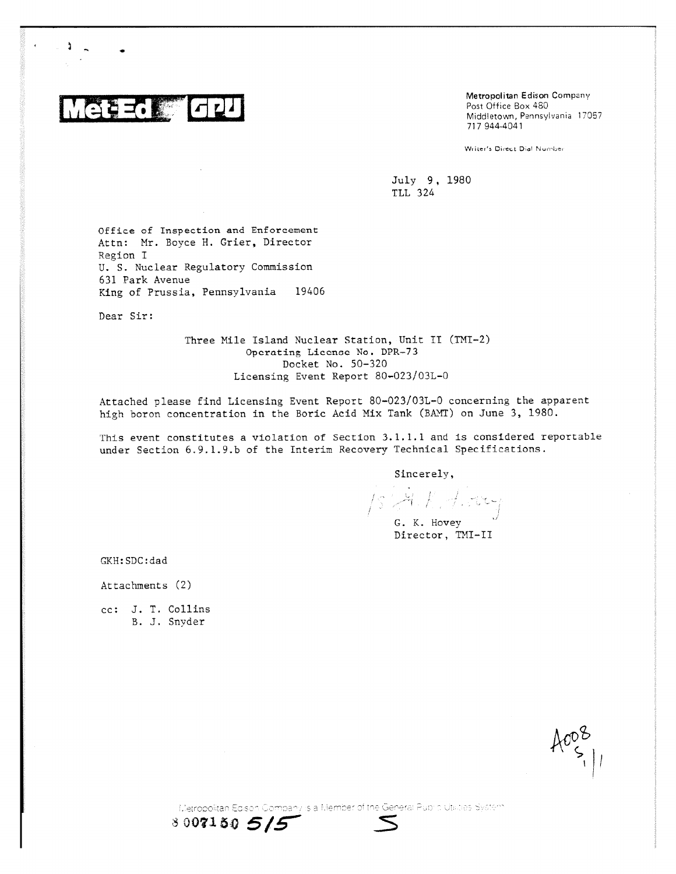3856 [42]

÷.

Metropolitan Edison Company Post Office Box 480 Middletown, Pennsylvania 17057 717 944-4041

Writer's Direct Dial Number

July 9, 1980 TLL 324

Office of Inspection and Enforcement Attn: Mr. Boyce H. Crier, Director Region I U. S. Nuclear Regulatory Commission 631 Park Avenue King of Prussia, Pennsylvania 19406

Dear Sir:

Three Mile Island Nuclear Station, Unit II (TMI-2) Operating License No. DPR-73 Docket No. 50-320 Licensing Event Report 80-023/03L-0

Attached please find Licensing Event Report 80-023/03L-0 concerning the apparent high boron concentration in the Boric Acid Mix Tank (BAMT) on June 3, 1980.

This event constitutes a violation of Section 3.1.1.1 and is considered reportable under Section 6.9.1.9.b of the Interim Recovery Technical Specifications.

Sincerely,

 $1$  ,  $4$  ,  $1$  ,  $1$  ,  $1$  ,  $1$ G. K. Hovey

Director, TNT—IT

GKH:SDC:dad

Attachments (2)

cc: J. T. Collins B. J. Snyder



Eletropolitan Edison Company is a Member of the General Public Utilities System

80071505/5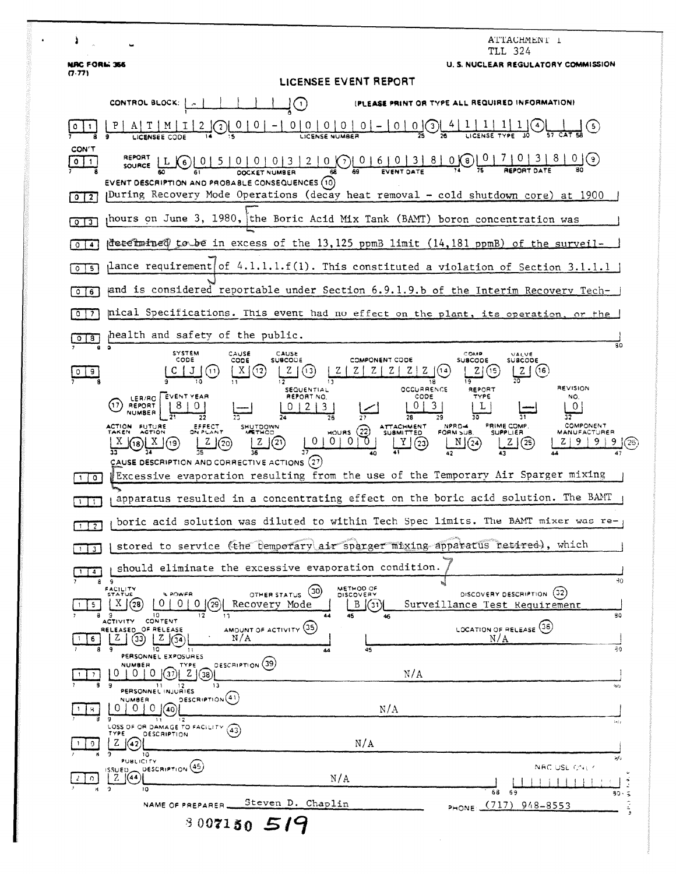| ATTACHMENT 1<br>TLL 324                                                                                                                                                                                                                                                                                                                                                                                                                                                                                                                                                                                                                                                                                                                         |
|-------------------------------------------------------------------------------------------------------------------------------------------------------------------------------------------------------------------------------------------------------------------------------------------------------------------------------------------------------------------------------------------------------------------------------------------------------------------------------------------------------------------------------------------------------------------------------------------------------------------------------------------------------------------------------------------------------------------------------------------------|
| <b>U.S. NUCLEAR REGULATORY COMMISSION</b><br><b>NRC FORM 366</b><br>(7.77)                                                                                                                                                                                                                                                                                                                                                                                                                                                                                                                                                                                                                                                                      |
| LICENSEE EVENT REPORT                                                                                                                                                                                                                                                                                                                                                                                                                                                                                                                                                                                                                                                                                                                           |
| (PLEASE PRINT OR TYPE ALL REQUIRED INFORMATION)<br>CONTROL BLOCK:   A<br>$\rfloor(\cdot)$                                                                                                                                                                                                                                                                                                                                                                                                                                                                                                                                                                                                                                                       |
| $0 0 0 0 0 0 - 0 0$                                                                                                                                                                                                                                                                                                                                                                                                                                                                                                                                                                                                                                                                                                                             |
| CON'T<br>REPORT L C 0 0 5 0 0 0 0 3 2 0 0 0 6 0 3 8 0 0 0 1 7 0 3 8<br>$\circ$<br>$\vert$ 1<br>EVENT DESCRIPTION AND PROBABLE CONSEQUENCES (10)<br>JDuring Recovery Mode Operations (decay heat removal - cold shutdown core) at 1900<br>0 <sub>12</sub>                                                                                                                                                                                                                                                                                                                                                                                                                                                                                        |
| hours on June 3, 1980, the Boric Acid Mix Tank (BAMT) boron concentration was<br>013                                                                                                                                                                                                                                                                                                                                                                                                                                                                                                                                                                                                                                                            |
| determined to be in excess of the 13,125 ppmB limit (14,181 ppmB) of the surveil-<br>$\circ$ 1<br>$\blacktriangleleft$                                                                                                                                                                                                                                                                                                                                                                                                                                                                                                                                                                                                                          |
| $\mu$ ance requirement of 4.1.1.1.f(1). This constituted a violation of Section 3.1.1.1<br>5<br>$\circ$                                                                                                                                                                                                                                                                                                                                                                                                                                                                                                                                                                                                                                         |
| and is considered reportable under Section 6.9.1.9.b of the Interim Recovery Tech-<br>$\circ$<br>6                                                                                                                                                                                                                                                                                                                                                                                                                                                                                                                                                                                                                                              |
| pical Specifications. This event had no effect on the plant, its operation, or the<br>$^{\circ}$<br>7                                                                                                                                                                                                                                                                                                                                                                                                                                                                                                                                                                                                                                           |
| health and safety of the public.<br>8<br>$\circ$<br>80                                                                                                                                                                                                                                                                                                                                                                                                                                                                                                                                                                                                                                                                                          |
| <b>SYSTEM</b><br>CAUSE<br>CAUSE<br>COMP<br>VALVE<br>CODE<br>COMPONENT CODE<br><b>SUBCODE</b><br>CODE<br><b>SUBCODE</b><br><b>SUBCODE</b><br>(16<br><b>REVISION</b><br>OCCURRENCE<br><b>REPORT</b><br>SEQUENTIAL<br>LER/RO EVENT YEAR<br>TYPE<br>REPORT NO.<br>CODE<br>NO.<br>3<br>(17)<br>REPORT<br>L<br>0<br>3.<br>$\mathbf{z}$<br>NUMBER<br>28<br>32<br>PRIME COMP.<br>COMPONENT<br>ACTION FUTURE<br>NPRD-4<br><b>ATTACHMENT</b><br>EFFECT<br>ON PLANT<br>SHUTDOWN<br>HOWRS (22)<br>FORM SUB.<br>TAKEN<br><b>ACTION</b><br><b>SUBMITTED</b><br><b>SUPPLIER</b><br><b>MANUFACTURER</b><br>0<br>0 <sup>1</sup><br>$0$   $0$<br>(21)<br>Υ<br>N(24)<br>$^{\prime}$ 25 $^{\prime}$<br>(23)<br>(19<br>CAUSE DESCRIPTION AND CORRECTIVE ACTIONS (27) |
| Excessive evaporation resulting from the use of the Temporary Air Sparger mixing<br>1   0                                                                                                                                                                                                                                                                                                                                                                                                                                                                                                                                                                                                                                                       |
| apparatus resulted in a concentrating effect on the boric acid solution. The BAMT<br>$\mathbf{1}$                                                                                                                                                                                                                                                                                                                                                                                                                                                                                                                                                                                                                                               |
| boric acid solution was diluted to within Tech Spec limits. The BAMT mixer was re<br><b>MI 520</b>                                                                                                                                                                                                                                                                                                                                                                                                                                                                                                                                                                                                                                              |
| stored to service (the temporary air sparger mixing apparatus retired), which<br>ີ3                                                                                                                                                                                                                                                                                                                                                                                                                                                                                                                                                                                                                                                             |
| should eliminate the excessive evaporation condition.<br>$\overline{4}$                                                                                                                                                                                                                                                                                                                                                                                                                                                                                                                                                                                                                                                                         |
| 90<br>8<br>METHOD OF<br>FACILITY<br>STATUS<br>(30)<br>DISCOVERY DESCRIPTION (32)<br><b>SPOWER</b><br>OTHER STATUS<br><b>DISCOVERY</b><br>X<br>0<br>0<br>Recovery Mode<br>B<br>Surveillance Test Requirement<br>(28<br>'29<br>(31<br>5.<br>10<br>30<br>45<br>٩<br>$\ddot{\mathbf{3}}$<br>44<br>17<br>46                                                                                                                                                                                                                                                                                                                                                                                                                                          |
| <b>ACTIVITY</b><br><b>CONTENT</b><br>AMOUNT OF ACTIVITY (35)<br>LOCATION OF RELEASE (36)<br>RELEASED OF RELEASE<br>N/A<br>N/A<br>(33)<br> Z (34)<br>۷<br>6.<br>30<br>45<br>10<br>44<br>1:                                                                                                                                                                                                                                                                                                                                                                                                                                                                                                                                                       |
| PERSONNEL EXPOSURES<br>DESCRIPTION (39)<br><b>NUMSER</b><br>TYPE<br>0<br>$\Omega$<br>N/A<br>$\Omega$<br>37<br>-Z 1<br>38<br>3<br>9<br>13<br>11<br>80                                                                                                                                                                                                                                                                                                                                                                                                                                                                                                                                                                                            |
| PERSONNEL INJURIES<br>DESCRIPTION <sup>(41)</sup><br>NUMBER<br>N/A<br>O.<br>40<br>iz i p                                                                                                                                                                                                                                                                                                                                                                                                                                                                                                                                                                                                                                                        |
| LOSS OF OR DAMAGE TO FACILITY.<br>(43)<br>TYPE<br><b>DESCRIPTION</b><br>N/A<br>z<br>$\left( 42\right)$<br>10                                                                                                                                                                                                                                                                                                                                                                                                                                                                                                                                                                                                                                    |
| زكية<br><b>PUBLICITY</b><br>DESCRIPTION (45)<br>NAC USL ONLY<br><b>ISSUED</b><br>$Z \mid (44)$<br>N/A<br>$\Omega$<br>$\overline{2}$<br>10                                                                                                                                                                                                                                                                                                                                                                                                                                                                                                                                                                                                       |
| 68<br>69<br>30<br>Steven D. Chaplin<br>PHONE: (717) 948-8553<br>NAME OF PREPARER.                                                                                                                                                                                                                                                                                                                                                                                                                                                                                                                                                                                                                                                               |
| 3007150514                                                                                                                                                                                                                                                                                                                                                                                                                                                                                                                                                                                                                                                                                                                                      |